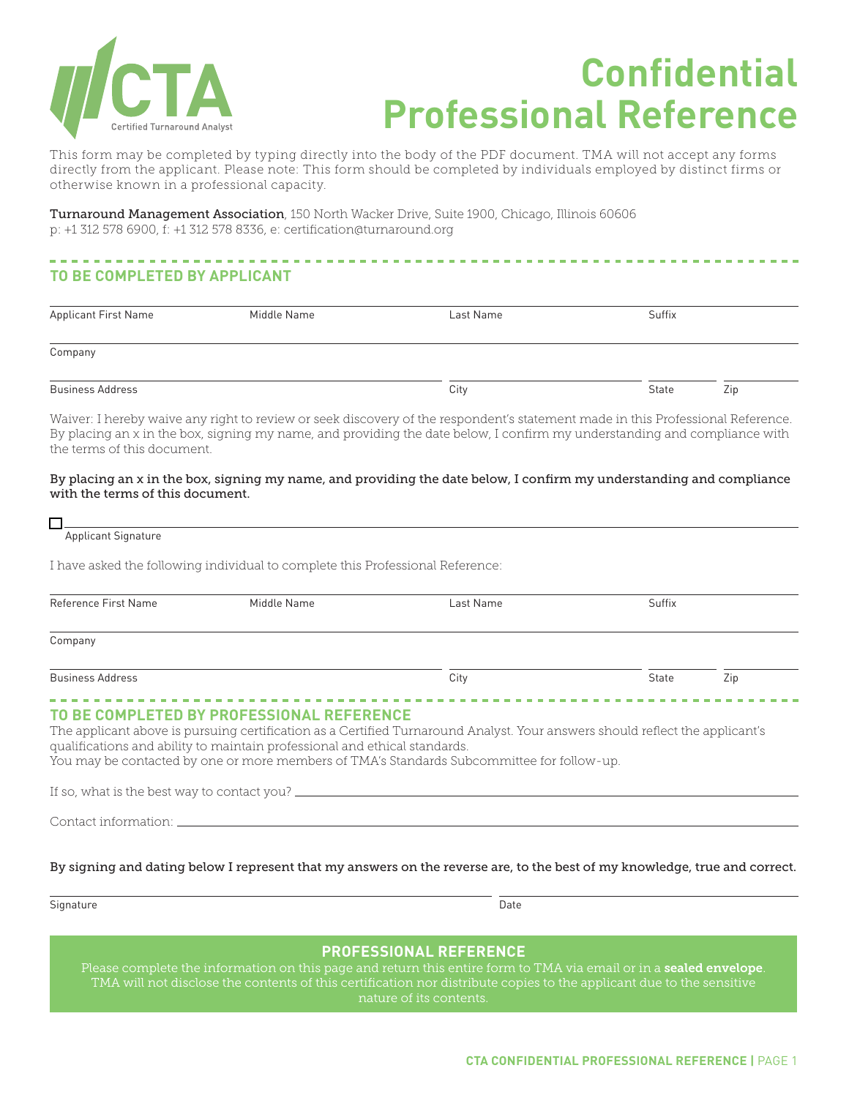

# **Confidential Professional Reference**

This form may be completed by typing directly into the body of the PDF document. TMA will not accept any forms directly from the applicant. Please note: This form should be completed by individuals employed by distinct firms or otherwise known in a professional capacity.

Turnaround Management Association, 150 North Wacker Drive, Suite 1900, Chicago, Illinois 60606 p: +1 312 578 6900, f: +1 312 578 8336, e: certification@turnaround.org

## **TO BE COMPLETED BY APPLICANT**

| <b>Applicant First Name</b> | Middle Name | Last Name | Suffix |     |
|-----------------------------|-------------|-----------|--------|-----|
| Company                     |             |           |        |     |
| <b>Business Address</b>     |             | City      | State  | Zip |

Waiver: I hereby waive any right to review or seek discovery of the respondent's statement made in this Professional Reference. By placing an x in the box, signing my name, and providing the date below, I confirm my understanding and compliance with the terms of this document.

#### By placing an x in the box, signing my name, and providing the date below, I confirm my understanding and compliance with the terms of this document.

#### m

Applicant Signature

I have asked the following individual to complete this Professional Reference:

| Reference First Name    | Middle Name                                                                                                             | Last Name                                                                                                                                                                                                                  | Suffix |     |
|-------------------------|-------------------------------------------------------------------------------------------------------------------------|----------------------------------------------------------------------------------------------------------------------------------------------------------------------------------------------------------------------------|--------|-----|
| Company                 |                                                                                                                         |                                                                                                                                                                                                                            |        |     |
| <b>Business Address</b> |                                                                                                                         | City                                                                                                                                                                                                                       | State  | Zip |
|                         | TO BE COMPLETED BY PROFESSIONAL REFERENCE<br>qualifications and ability to maintain professional and ethical standards. | The applicant above is pursuing certification as a Certified Turnaround Analyst. Your answers should reflect the applicant's<br>You may be contacted by one or more members of TMA's Standards Subcommittee for follow-up. |        |     |
|                         |                                                                                                                         |                                                                                                                                                                                                                            |        |     |
|                         | Contact information: the contract information:                                                                          |                                                                                                                                                                                                                            |        |     |
|                         |                                                                                                                         |                                                                                                                                                                                                                            |        |     |

By signing and dating below I represent that my answers on the reverse are, to the best of my knowledge, true and correct.

Signature Date

### **PROFESSIONAL REFERENCE**

Please complete the information on this page and return this entire form to TMA via email or in a sealed envelope. TMA will not disclose the contents of this certification nor distribute copies to the applicant due to the sensitive nature of its contents.